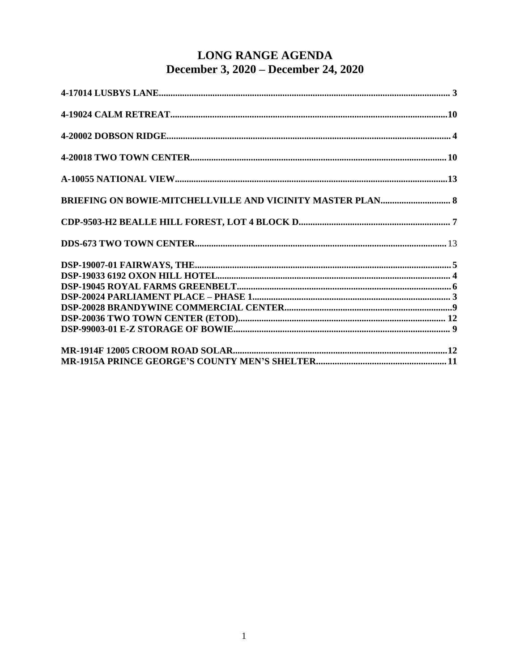### LONG RANGE AGENDA December 3, 2020 – December 24, 2020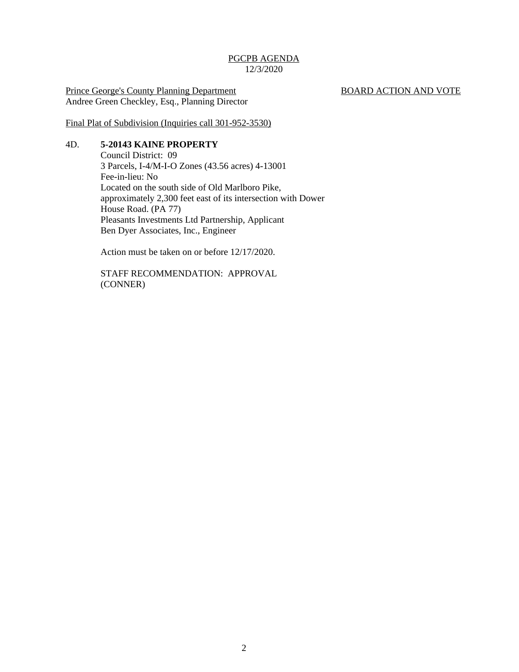Prince George's County Planning Department BOARD ACTION AND VOTE Andree Green Checkley, Esq., Planning Director

Final Plat of Subdivision (Inquiries call 301-952-3530)

#### 4D. **5-20143 KAINE PROPERTY**

Council District: 09 3 Parcels, I-4/M-I-O Zones (43.56 acres) 4-13001 Fee-in-lieu: No Located on the south side of Old Marlboro Pike, approximately 2,300 feet east of its intersection with Dower House Road. (PA 77) Pleasants Investments Ltd Partnership, Applicant Ben Dyer Associates, Inc., Engineer

Action must be taken on or before 12/17/2020.

STAFF RECOMMENDATION: APPROVAL (CONNER)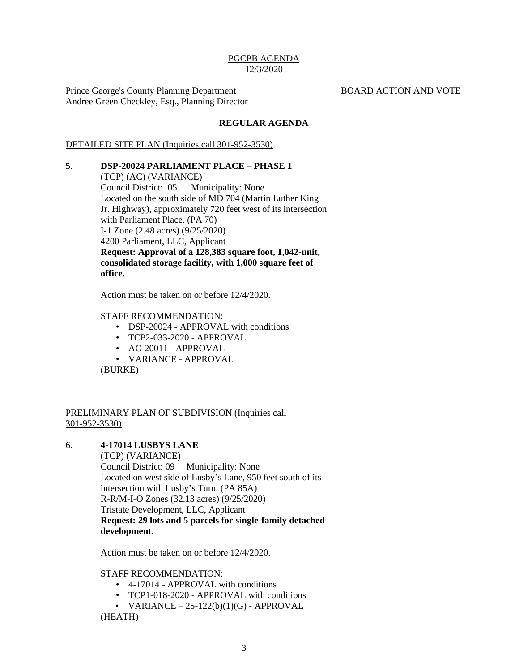Prince George's County Planning Department BOARD ACTION AND VOTE Andree Green Checkley, Esq., Planning Director

#### **REGULAR AGENDA**

#### DETAILED SITE PLAN (Inquiries call 301-952-3530)

5. **DSP-20024 PARLIAMENT PLACE – PHASE 1** (TCP) (AC) (VARIANCE) Council District: 05 Municipality: None Located on the south side of MD 704 (Martin Luther King Jr. Highway), approximately 720 feet west of its intersection with Parliament Place. (PA 70) I-1 Zone (2.48 acres) (9/25/2020) 4200 Parliament, LLC, Applicant **Request: Approval of a 128,383 square foot, 1,042-unit, consolidated storage facility, with 1,000 square feet of office.**

Action must be taken on or before 12/4/2020.

#### STAFF RECOMMENDATION:

- DSP-20024 APPROVAL with conditions
- TCP2-033-2020 APPROVAL
- AC-20011 APPROVAL
- VARIANCE APPROVAL

(BURKE)

#### PRELIMINARY PLAN OF SUBDIVISION (Inquiries call 301-952-3530)

#### 6. **4-17014 LUSBYS LANE**

(TCP) (VARIANCE) Council District: 09 Municipality: None Located on west side of Lusby's Lane, 950 feet south of its intersection with Lusby's Turn. (PA 85A) R-R/M-I-O Zones (32.13 acres) (9/25/2020) Tristate Development, LLC, Applicant **Request: 29 lots and 5 parcels for single-family detached development.**

Action must be taken on or before 12/4/2020.

#### STAFF RECOMMENDATION:

- 4-17014 APPROVAL with conditions
- TCP1-018-2020 APPROVAL with conditions
- VARIANCE  $25 122(b)(1)(G)$  APPROVAL

(HEATH)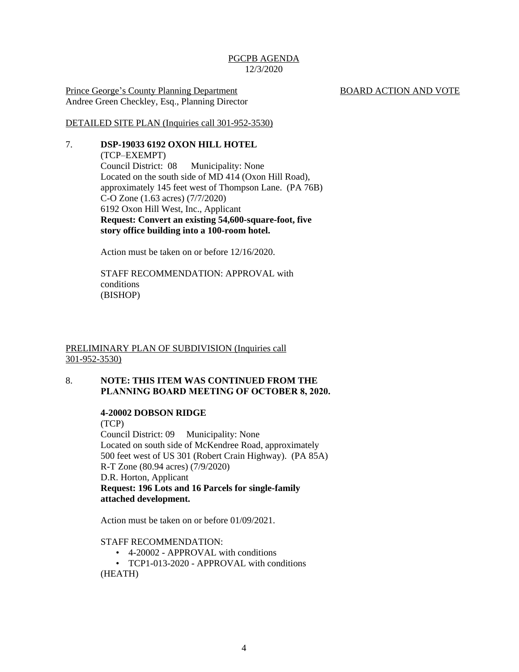Prince George's County Planning Department BOARD ACTION AND VOTE Andree Green Checkley, Esq., Planning Director

DETAILED SITE PLAN (Inquiries call 301-952-3530)

#### 7. **DSP-19033 6192 OXON HILL HOTEL**

(TCP–EXEMPT) Council District: 08 Municipality: None Located on the south side of MD 414 (Oxon Hill Road), approximately 145 feet west of Thompson Lane. (PA 76B) C-O Zone (1.63 acres) (7/7/2020) 6192 Oxon Hill West, Inc., Applicant **Request: Convert an existing 54,600-square-foot, five story office building into a 100-room hotel.**

Action must be taken on or before 12/16/2020.

STAFF RECOMMENDATION: APPROVAL with conditions (BISHOP)

#### PRELIMINARY PLAN OF SUBDIVISION (Inquiries call 301-952-3530)

#### 8. **NOTE: THIS ITEM WAS CONTINUED FROM THE PLANNING BOARD MEETING OF OCTOBER 8, 2020.**

#### **4-20002 DOBSON RIDGE**

(TCP) Council District: 09 Municipality: None Located on south side of McKendree Road, approximately 500 feet west of US 301 (Robert Crain Highway). (PA 85A) R-T Zone (80.94 acres) (7/9/2020) D.R. Horton, Applicant **Request: 196 Lots and 16 Parcels for single-family attached development.**

Action must be taken on or before 01/09/2021.

#### STAFF RECOMMENDATION:

- 4-20002 APPROVAL with conditions
- TCP1-013-2020 APPROVAL with conditions (HEATH)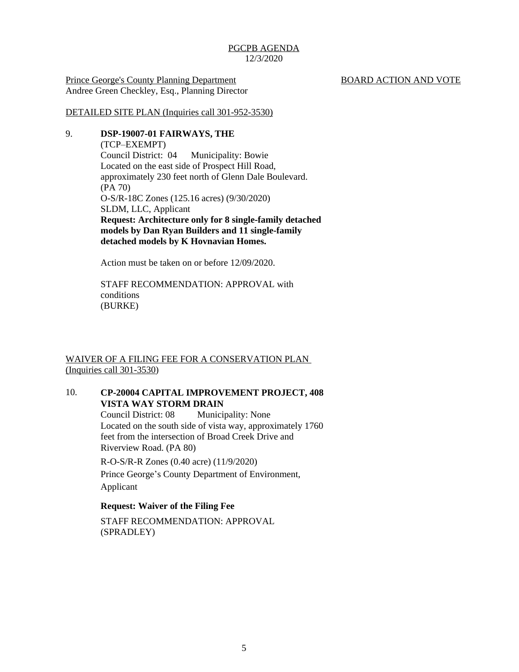Prince George's County Planning Department BOARD ACTION AND VOTE Andree Green Checkley, Esq., Planning Director

DETAILED SITE PLAN (Inquiries call 301-952-3530)

#### 9. **DSP-19007-01 FAIRWAYS, THE**

(TCP–EXEMPT) Council District: 04 Municipality: Bowie Located on the east side of Prospect Hill Road, approximately 230 feet north of Glenn Dale Boulevard. (PA 70) O-S/R-18C Zones (125.16 acres) (9/30/2020) SLDM, LLC, Applicant **Request: Architecture only for 8 single-family detached models by Dan Ryan Builders and 11 single-family detached models by K Hovnavian Homes.**

Action must be taken on or before 12/09/2020.

STAFF RECOMMENDATION: APPROVAL with conditions (BURKE)

WAIVER OF A FILING FEE FOR A CONSERVATION PLAN (Inquiries call 301-3530)

#### 10. **CP-20004 CAPITAL IMPROVEMENT PROJECT, 408 VISTA WAY STORM DRAIN**

Council District: 08 Municipality: None Located on the south side of vista way, approximately 1760 feet from the intersection of Broad Creek Drive and Riverview Road. (PA 80)

R-O-S/R-R Zones (0.40 acre) (11/9/2020)

Prince George's County Department of Environment, Applicant

#### **Request: Waiver of the Filing Fee**

STAFF RECOMMENDATION: APPROVAL (SPRADLEY)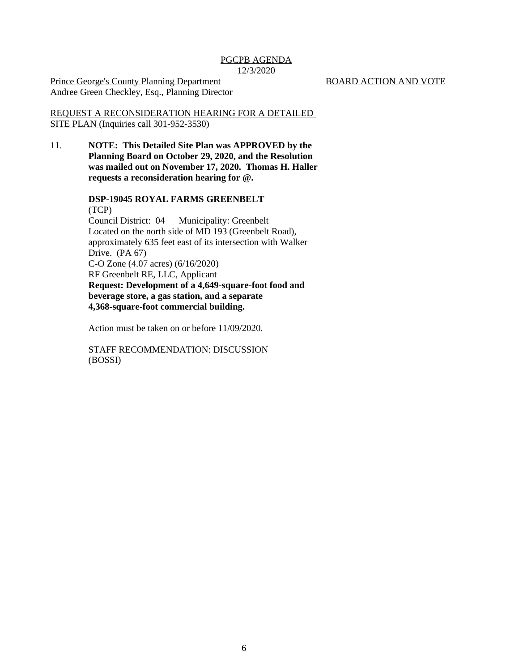Prince George's County Planning Department BOARD ACTION AND VOTE Andree Green Checkley, Esq., Planning Director

REQUEST A RECONSIDERATION HEARING FOR A DETAILED SITE PLAN (Inquiries call 301-952-3530)

11. **NOTE: This Detailed Site Plan was APPROVED by the Planning Board on October 29, 2020, and the Resolution was mailed out on November 17, 2020. Thomas H. Haller requests a reconsideration hearing for @.**

> **DSP-19045 ROYAL FARMS GREENBELT** (TCP) Council District: 04 Municipality: Greenbelt Located on the north side of MD 193 (Greenbelt Road), approximately 635 feet east of its intersection with Walker Drive. (PA 67) C-O Zone (4.07 acres) (6/16/2020) RF Greenbelt RE, LLC, Applicant **Request: Development of a 4,649-square-foot food and beverage store, a gas station, and a separate 4,368-square-foot commercial building.**

Action must be taken on or before 11/09/2020.

STAFF RECOMMENDATION: DISCUSSION (BOSSI)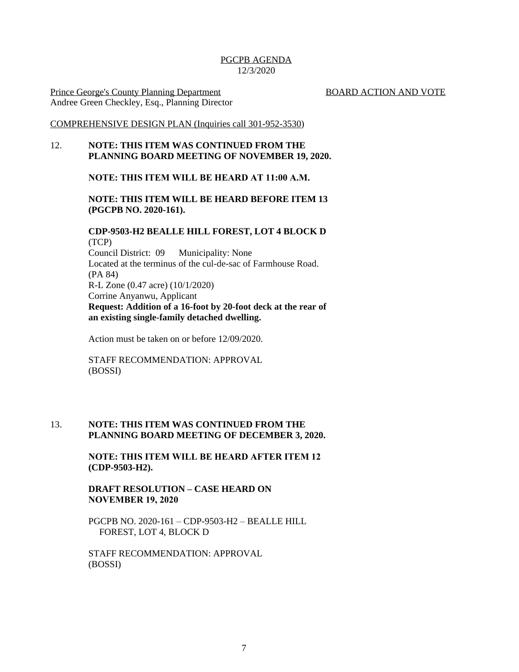Prince George's County Planning Department BOARD ACTION AND VOTE Andree Green Checkley, Esq., Planning Director

#### COMPREHENSIVE DESIGN PLAN (Inquiries call 301-952-3530)

#### 12. **NOTE: THIS ITEM WAS CONTINUED FROM THE PLANNING BOARD MEETING OF NOVEMBER 19, 2020.**

#### **NOTE: THIS ITEM WILL BE HEARD AT 11:00 A.M.**

#### **NOTE: THIS ITEM WILL BE HEARD BEFORE ITEM 13 (PGCPB NO. 2020-161).**

#### **CDP-9503-H2 BEALLE HILL FOREST, LOT 4 BLOCK D** (TCP) Council District: 09 Municipality: None Located at the terminus of the cul-de-sac of Farmhouse Road. (PA 84) R-L Zone (0.47 acre) (10/1/2020) Corrine Anyanwu, Applicant **Request: Addition of a 16-foot by 20-foot deck at the rear of an existing single-family detached dwelling.**

Action must be taken on or before 12/09/2020.

STAFF RECOMMENDATION: APPROVAL (BOSSI)

#### 13. **NOTE: THIS ITEM WAS CONTINUED FROM THE PLANNING BOARD MEETING OF DECEMBER 3, 2020.**

**NOTE: THIS ITEM WILL BE HEARD AFTER ITEM 12 (CDP-9503-H2).**

#### **DRAFT RESOLUTION – CASE HEARD ON NOVEMBER 19, 2020**

PGCPB NO. 2020-161 – CDP-9503-H2 – BEALLE HILL FOREST, LOT 4, BLOCK D

STAFF RECOMMENDATION: APPROVAL (BOSSI)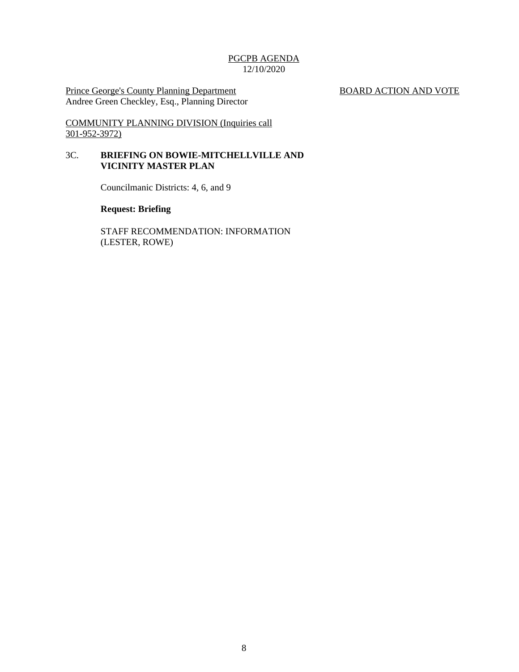Prince George's County Planning Department BOARD ACTION AND VOTE Andree Green Checkley, Esq., Planning Director

COMMUNITY PLANNING DIVISION (Inquiries call 301-952-3972)

#### 3C. **BRIEFING ON BOWIE-MITCHELLVILLE AND VICINITY MASTER PLAN**

Councilmanic Districts: 4, 6, and 9

#### **Request: Briefing**

STAFF RECOMMENDATION: INFORMATION (LESTER, ROWE)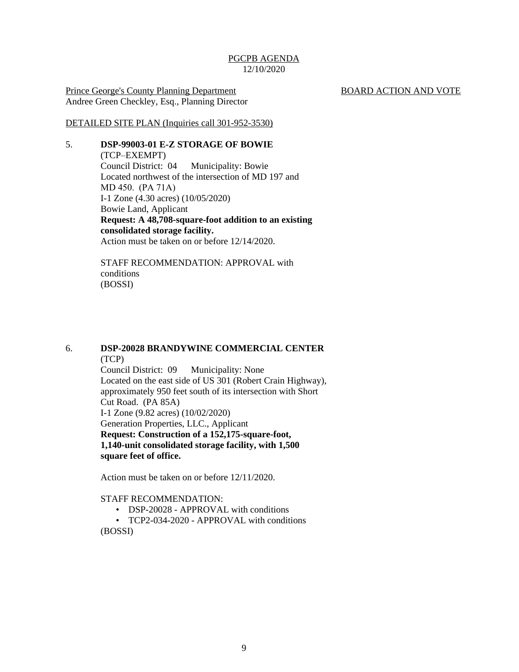Prince George's County Planning Department BOARD ACTION AND VOTE Andree Green Checkley, Esq., Planning Director

DETAILED SITE PLAN (Inquiries call 301-952-3530)

#### 5. **DSP-99003-01 E-Z STORAGE OF BOWIE**

(TCP–EXEMPT) Council District: 04 Municipality: Bowie Located northwest of the intersection of MD 197 and MD 450. (PA 71A) I-1 Zone (4.30 acres) (10/05/2020) Bowie Land, Applicant **Request: A 48,708-square-foot addition to an existing consolidated storage facility.** Action must be taken on or before 12/14/2020.

STAFF RECOMMENDATION: APPROVAL with conditions (BOSSI)

6. **DSP-20028 BRANDYWINE COMMERCIAL CENTER** (TCP)

Council District: 09 Municipality: None Located on the east side of US 301 (Robert Crain Highway), approximately 950 feet south of its intersection with Short Cut Road. (PA 85A) I-1 Zone (9.82 acres) (10/02/2020) Generation Properties, LLC., Applicant **Request: Construction of a 152,175-square-foot, 1,140-unit consolidated storage facility, with 1,500 square feet of office.**

Action must be taken on or before 12/11/2020.

#### STAFF RECOMMENDATION:

- DSP-20028 APPROVAL with conditions
- TCP2-034-2020 APPROVAL with conditions (BOSSI)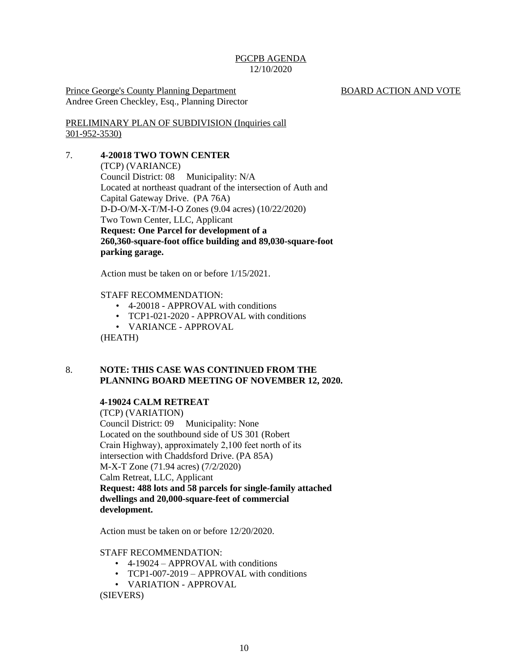Prince George's County Planning Department BOARD ACTION AND VOTE Andree Green Checkley, Esq., Planning Director

PRELIMINARY PLAN OF SUBDIVISION (Inquiries call 301-952-3530)

#### 7. **4-20018 TWO TOWN CENTER**

(TCP) (VARIANCE) Council District: 08 Municipality: N/A Located at northeast quadrant of the intersection of Auth and Capital Gateway Drive. (PA 76A) D-D-O/M-X-T/M-I-O Zones (9.04 acres) (10/22/2020) Two Town Center, LLC, Applicant **Request: One Parcel for development of a 260,360-square-foot office building and 89,030-square-foot parking garage.** 

Action must be taken on or before 1/15/2021.

#### STAFF RECOMMENDATION:

- 4-20018 APPROVAL with conditions
- TCP1-021-2020 APPROVAL with conditions
- VARIANCE APPROVAL

(HEATH)

#### 8. **NOTE: THIS CASE WAS CONTINUED FROM THE PLANNING BOARD MEETING OF NOVEMBER 12, 2020.**

#### **4-19024 CALM RETREAT**

(TCP) (VARIATION) Council District: 09 Municipality: None Located on the southbound side of US 301 (Robert Crain Highway), approximately 2,100 feet north of its intersection with Chaddsford Drive. (PA 85A) M-X-T Zone (71.94 acres) (7/2/2020) Calm Retreat, LLC, Applicant **Request: 488 lots and 58 parcels for single-family attached dwellings and 20,000-square-feet of commercial development.** 

Action must be taken on or before 12/20/2020.

#### STAFF RECOMMENDATION:

- 4-19024 APPROVAL with conditions
- TCP1-007-2019 APPROVAL with conditions
- VARIATION APPROVAL

(SIEVERS)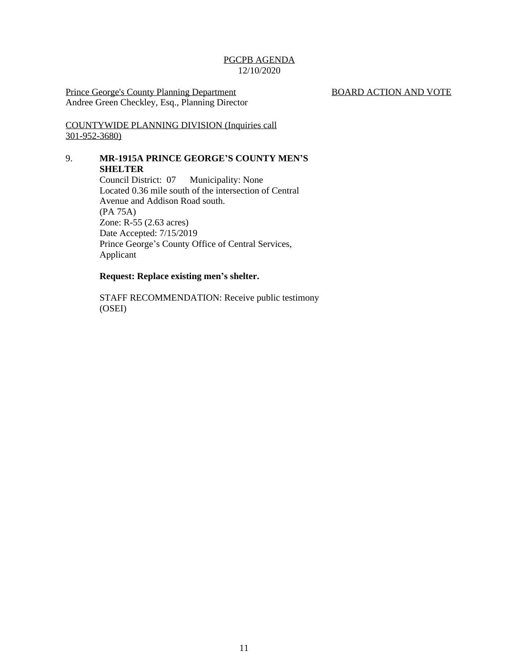Prince George's County Planning Department BOARD ACTION AND VOTE Andree Green Checkley, Esq., Planning Director

COUNTYWIDE PLANNING DIVISION (Inquiries call 301-952-3680)

#### 9. **MR-1915A PRINCE GEORGE'S COUNTY MEN'S SHELTER**

Council District: 07 Municipality: None Located 0.36 mile south of the intersection of Central Avenue and Addison Road south. (PA 75A) Zone: R-55 (2.63 acres) Date Accepted: 7/15/2019 Prince George's County Office of Central Services, Applicant

#### **Request: Replace existing men's shelter.**

STAFF RECOMMENDATION: Receive public testimony (OSEI)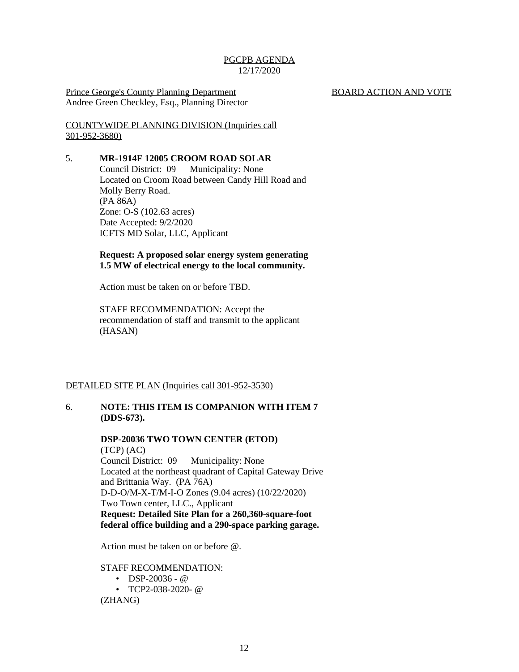Prince George's County Planning Department BOARD ACTION AND VOTE Andree Green Checkley, Esq., Planning Director

COUNTYWIDE PLANNING DIVISION (Inquiries call 301-952-3680)

#### 5. **MR-1914F 12005 CROOM ROAD SOLAR**

Council District: 09 Municipality: None Located on Croom Road between Candy Hill Road and Molly Berry Road. (PA 86A) Zone: O-S (102.63 acres) Date Accepted: 9/2/2020 ICFTS MD Solar, LLC, Applicant

#### **Request: A proposed solar energy system generating 1.5 MW of electrical energy to the local community.**

Action must be taken on or before TBD.

STAFF RECOMMENDATION: Accept the recommendation of staff and transmit to the applicant (HASAN)

#### DETAILED SITE PLAN (Inquiries call 301-952-3530)

#### 6. **NOTE: THIS ITEM IS COMPANION WITH ITEM 7 (DDS-673).**

#### **DSP-20036 TWO TOWN CENTER (ETOD)** (TCP) (AC)

Council District: 09 Municipality: None Located at the northeast quadrant of Capital Gateway Drive and Brittania Way. (PA 76A) D-D-O/M-X-T/M-I-O Zones (9.04 acres) (10/22/2020) Two Town center, LLC., Applicant **Request: Detailed Site Plan for a 260,360-square-foot federal office building and a 290-space parking garage.** 

Action must be taken on or before @.

STAFF RECOMMENDATION:

• DSP-20036 -  $@$ • TCP2-038-2020- @ (ZHANG)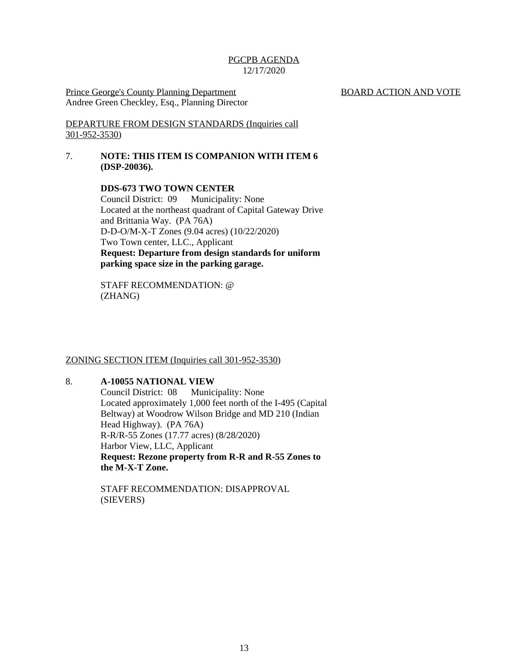Prince George's County Planning Department BOARD ACTION AND VOTE Andree Green Checkley, Esq., Planning Director

DEPARTURE FROM DESIGN STANDARDS (Inquiries call 301-952-3530)

#### 7. **NOTE: THIS ITEM IS COMPANION WITH ITEM 6 (DSP-20036).**

**DDS-673 TWO TOWN CENTER** Council District: 09 Municipality: None Located at the northeast quadrant of Capital Gateway Drive and Brittania Way. (PA 76A) D-D-O/M-X-T Zones (9.04 acres) (10/22/2020) Two Town center, LLC., Applicant **Request: Departure from design standards for uniform parking space size in the parking garage.**

STAFF RECOMMENDATION: @ (ZHANG)

#### ZONING SECTION ITEM (Inquiries call 301-952-3530)

#### 8. **A-10055 NATIONAL VIEW**

Council District: 08 Municipality: None Located approximately 1,000 feet north of the I-495 (Capital Beltway) at Woodrow Wilson Bridge and MD 210 (Indian Head Highway). (PA 76A) R-R/R-55 Zones (17.77 acres) (8/28/2020) Harbor View, LLC, Applicant **Request: Rezone property from R-R and R-55 Zones to the M-X-T Zone.**

STAFF RECOMMENDATION: DISAPPROVAL (SIEVERS)